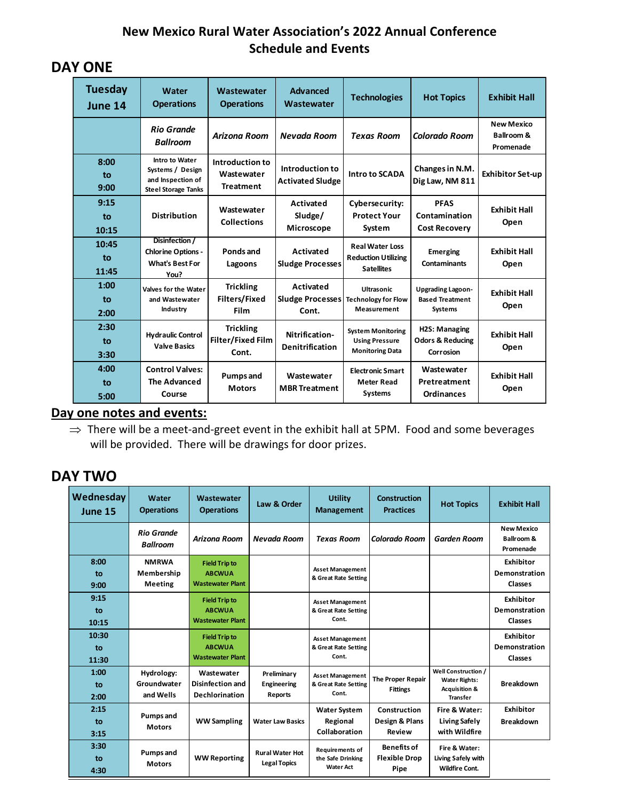### **New Mexico Rural Water Association's 2022 Annual Conference Schedule and Events**

## **DAY ONE**

| <b>Tuesday</b><br>June 14 | Water<br><b>Operations</b>                                                            | Wastewater<br><b>Operations</b>                       | <b>Advanced</b><br>Wastewater                 | <b>Technologies</b>                                                         | <b>Hot Topics</b>                                                    | <b>Exhibit Hall</b>                          |
|---------------------------|---------------------------------------------------------------------------------------|-------------------------------------------------------|-----------------------------------------------|-----------------------------------------------------------------------------|----------------------------------------------------------------------|----------------------------------------------|
|                           | <b>Rio Grande</b><br><b>Ballroom</b>                                                  | <b>Arizona Room</b>                                   | Nevada Room                                   | <b>Texas Room</b>                                                           | Colorado Room                                                        | <b>New Mexico</b><br>Ballroom &<br>Promenade |
| 8:00<br>to<br>9:00        | Intro to Water<br>Systems / Design<br>and Inspection of<br><b>Steel Storage Tanks</b> | Introduction to<br>Wastewater<br><b>Treatment</b>     | Introduction to<br><b>Activated Sludge</b>    | <b>Intro to SCADA</b>                                                       | Changes in N.M.<br>Dig Law, NM 811                                   | <b>Exhibitor Set-up</b>                      |
| 9:15<br>to<br>10:15       | <b>Distribution</b>                                                                   | Wastewater<br><b>Collections</b>                      | Activated<br>Sludge/<br>Microscope            | Cybersecurity:<br><b>Protect Your</b><br>System                             | <b>PFAS</b><br>Contamination<br><b>Cost Recovery</b>                 | <b>Exhibit Hall</b><br>Open                  |
| 10:45<br>to<br>11:45      | Disinfection /<br><b>Chlorine Options -</b><br><b>What's Best For</b><br>You?         | Ponds and<br>Lagoons                                  | Activated<br><b>Sludge Processes</b>          | <b>Real Water Loss</b><br><b>Reduction Utilizing</b><br><b>Satellites</b>   | <b>Emerging</b><br>Contaminants                                      | <b>Exhibit Hall</b><br>Open                  |
| 1:00<br>to<br>2:00        | Valves for the Water<br>and Wastewater<br>Industry                                    | <b>Trickling</b><br>Filters/Fixed<br>Film             | Activated<br><b>Sludge Processes</b><br>Cont. | Ultrasonic<br><b>Technology for Flow</b><br>Measurement                     | <b>Upgrading Lagoon-</b><br><b>Based Treatment</b><br><b>Systems</b> | <b>Exhibit Hall</b><br>Open                  |
| 2:30<br>to<br>3:30        | <b>Hydraulic Control</b><br><b>Valve Basics</b>                                       | <b>Trickling</b><br><b>Filter/Fixed Film</b><br>Cont. | Nitrification-<br>Denitrification             | <b>System Monitoring</b><br><b>Using Pressure</b><br><b>Monitoring Data</b> | H2S: Managing<br><b>Odors &amp; Reducing</b><br>Corrosion            | <b>Exhibit Hall</b><br>Open                  |
| 4:00<br>to<br>5:00        | <b>Control Valves:</b><br><b>The Advanced</b><br>Course                               | <b>Pumps and</b><br><b>Motors</b>                     | Wastewater<br><b>MBR Treatment</b>            | <b>Electronic Smart</b><br><b>Meter Read</b><br><b>Systems</b>              | Wastewater<br>Pretreatment<br><b>Ordinances</b>                      | <b>Exhibit Hall</b><br>Open                  |

**Day one notes and events:** 

 $\Rightarrow$  There will be a meet-and-greet event in the exhibit hall at 5PM. Food and some beverages will be provided. There will be drawings for door prizes.

# **DAY TWO**

| Wednesday<br>June 15 | Water<br><b>Operations</b>                   | Wastewater<br><b>Operations</b>                                  | Law & Order                                   | <b>Utility</b><br><b>Management</b>                             | <b>Construction</b><br><b>Practices</b>            | <b>Hot Topics</b>                                                                          | <b>Exhibit Hall</b>                                     |
|----------------------|----------------------------------------------|------------------------------------------------------------------|-----------------------------------------------|-----------------------------------------------------------------|----------------------------------------------------|--------------------------------------------------------------------------------------------|---------------------------------------------------------|
|                      | <b>Rio Grande</b><br><b>Ballroom</b>         | Arizona Room                                                     | Nevada Room                                   | <b>Texas Room</b>                                               | Colorado Room                                      | <b>Garden Room</b>                                                                         | <b>New Mexico</b><br><b>Ballroom &amp;</b><br>Promenade |
| 8:00<br>to<br>9:00   | <b>NMRWA</b><br>Membership<br><b>Meeting</b> | <b>Field Trip to</b><br><b>ABCWUA</b><br><b>Wastewater Plant</b> |                                               | <b>Asset Management</b><br>& Great Rate Setting                 |                                                    |                                                                                            | <b>Exhibitor</b><br>Demonstration<br>Classes            |
| 9:15<br>to<br>10:15  |                                              | <b>Field Trip to</b><br><b>ABCWUA</b><br><b>Wastewater Plant</b> |                                               | <b>Asset Management</b><br>& Great Rate Setting<br>Cont.        |                                                    |                                                                                            | <b>Exhibitor</b><br>Demonstration<br>Classes            |
| 10:30<br>to<br>11:30 |                                              | <b>Field Trip to</b><br><b>ABCWUA</b><br><b>Wastewater Plant</b> |                                               | <b>Asset Management</b><br>& Great Rate Setting<br>Cont.        |                                                    |                                                                                            | <b>Exhibitor</b><br>Demonstration<br>Classes            |
| 1:00<br>to<br>2:00   | Hydrology:<br>Groundwater<br>and Wells       | Wastewater<br>Disinfection and<br><b>Dechlorination</b>          | Preliminary<br>Engineering<br><b>Reports</b>  | <b>Asset Management</b><br>& Great Rate Setting<br>Cont.        | <b>The Proper Repair</b><br><b>Fittings</b>        | Well Construction /<br><b>Water Rights:</b><br><b>Acquisition &amp;</b><br><b>Transfer</b> | <b>Breakdown</b>                                        |
| 2:15<br>to<br>3:15   | <b>Pumps and</b><br><b>Motors</b>            | <b>WW Sampling</b>                                               | <b>Water Law Basics</b>                       | <b>Water System</b><br>Regional<br>Collaboration                | Construction<br>Design & Plans<br>Review           | Fire & Water:<br><b>Living Safely</b><br>with Wildfire                                     | <b>Exhibitor</b><br><b>Breakdown</b>                    |
| 3:30<br>to<br>4:30   | <b>Pumps and</b><br><b>Motors</b>            | <b>WW Reporting</b>                                              | <b>Rural Water Hot</b><br><b>Legal Topics</b> | <b>Requirements of</b><br>the Safe Drinking<br><b>Water Act</b> | <b>Benefits of</b><br><b>Flexible Drop</b><br>Pipe | Fire & Water:<br>Living Safely with<br><b>Wildfire Cont.</b>                               |                                                         |